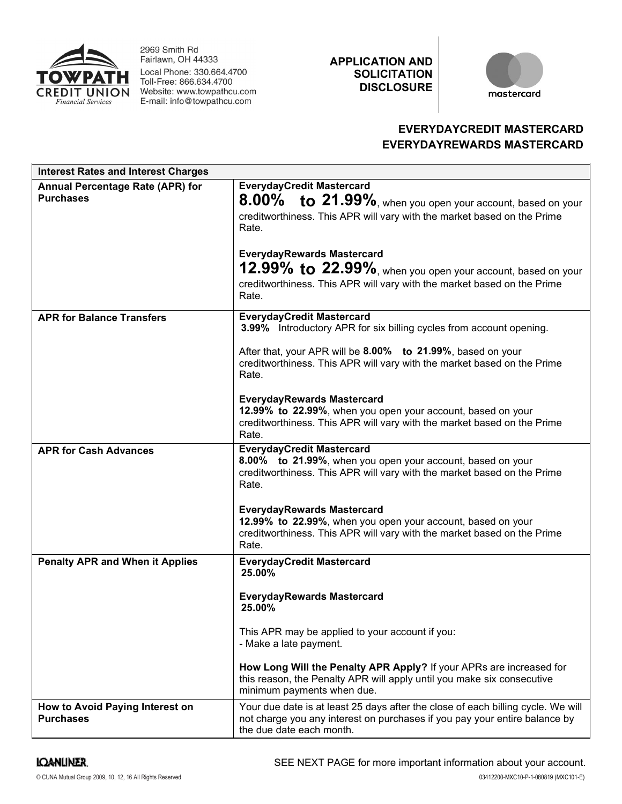

2969 Smith Rd Fairlawn, OH 44333 Local Phone: 330.664.4700 Toll-Free: 866.634.4700 Website: www.towpathcu.com E-mail: info@towpathcu.com

# APPLICATION AND **SOLICITATION** DISCLOSURE



## EVERYDAYCREDIT MASTERCARD EVERYDAYREWARDS MASTERCARD

| <b>Interest Rates and Interest Charges</b>           |                                                                                                                                                                                                                                                   |
|------------------------------------------------------|---------------------------------------------------------------------------------------------------------------------------------------------------------------------------------------------------------------------------------------------------|
| Annual Percentage Rate (APR) for<br><b>Purchases</b> | <b>EverydayCredit Mastercard</b><br>8.00% to 21.99%, when you open your account, based on your<br>creditworthiness. This APR will vary with the market based on the Prime<br>Rate.                                                                |
|                                                      | <b>EverydayRewards Mastercard</b><br>12.99% to 22.99%, when you open your account, based on your<br>creditworthiness. This APR will vary with the market based on the Prime<br>Rate.                                                              |
| <b>APR for Balance Transfers</b>                     | <b>EverydayCredit Mastercard</b><br>3.99% Introductory APR for six billing cycles from account opening.<br>After that, your APR will be 8.00% to 21.99%, based on your<br>creditworthiness. This APR will vary with the market based on the Prime |
|                                                      | Rate.<br><b>EverydayRewards Mastercard</b><br>12.99% to 22.99%, when you open your account, based on your<br>creditworthiness. This APR will vary with the market based on the Prime<br>Rate.                                                     |
| <b>APR for Cash Advances</b>                         | <b>EverydayCredit Mastercard</b><br>8.00% to 21.99%, when you open your account, based on your<br>creditworthiness. This APR will vary with the market based on the Prime<br>Rate.                                                                |
|                                                      | <b>EverydayRewards Mastercard</b><br>12.99% to 22.99%, when you open your account, based on your<br>creditworthiness. This APR will vary with the market based on the Prime<br>Rate.                                                              |
| <b>Penalty APR and When it Applies</b>               | <b>EverydayCredit Mastercard</b><br>25.00%                                                                                                                                                                                                        |
|                                                      | <b>EverydayRewards Mastercard</b><br>25.00%                                                                                                                                                                                                       |
|                                                      | This APR may be applied to your account if you:<br>- Make a late payment.                                                                                                                                                                         |
|                                                      | How Long Will the Penalty APR Apply? If your APRs are increased for<br>this reason, the Penalty APR will apply until you make six consecutive<br>minimum payments when due.                                                                       |
| How to Avoid Paying Interest on<br><b>Purchases</b>  | Your due date is at least 25 days after the close of each billing cycle. We will<br>not charge you any interest on purchases if you pay your entire balance by<br>the due date each month.                                                        |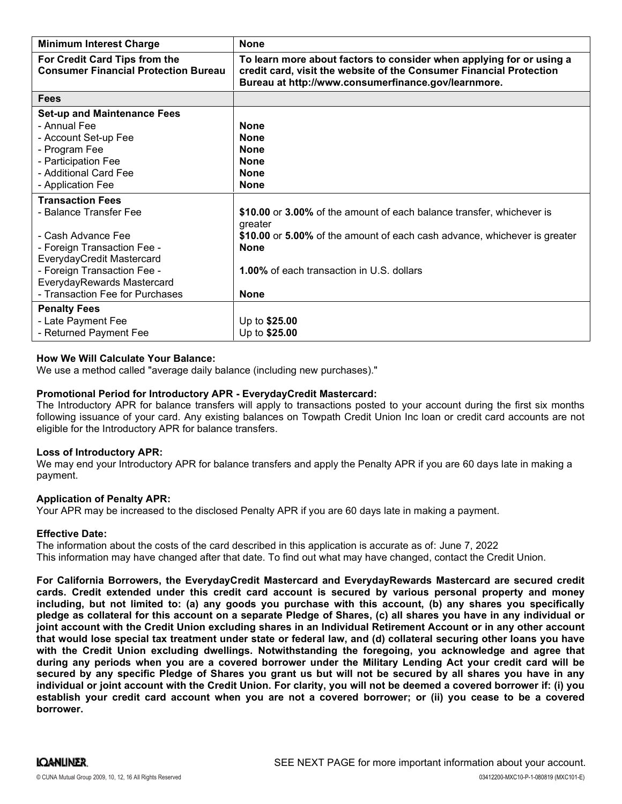| <b>Minimum Interest Charge</b>                                               | <b>None</b>                                                                                                                                                                                        |
|------------------------------------------------------------------------------|----------------------------------------------------------------------------------------------------------------------------------------------------------------------------------------------------|
| For Credit Card Tips from the<br><b>Consumer Financial Protection Bureau</b> | To learn more about factors to consider when applying for or using a<br>credit card, visit the website of the Consumer Financial Protection<br>Bureau at http://www.consumerfinance.gov/learnmore. |
| <b>Fees</b>                                                                  |                                                                                                                                                                                                    |
| <b>Set-up and Maintenance Fees</b>                                           |                                                                                                                                                                                                    |
| - Annual Fee                                                                 | <b>None</b>                                                                                                                                                                                        |
| - Account Set-up Fee                                                         | <b>None</b>                                                                                                                                                                                        |
| - Program Fee                                                                | <b>None</b>                                                                                                                                                                                        |
| - Participation Fee                                                          | <b>None</b>                                                                                                                                                                                        |
| - Additional Card Fee                                                        | <b>None</b>                                                                                                                                                                                        |
| - Application Fee                                                            | <b>None</b>                                                                                                                                                                                        |
| <b>Transaction Fees</b>                                                      |                                                                                                                                                                                                    |
| - Balance Transfer Fee                                                       | \$10.00 or 3.00% of the amount of each balance transfer, whichever is<br>greater                                                                                                                   |
| - Cash Advance Fee                                                           | \$10.00 or 5.00% of the amount of each cash advance, whichever is greater                                                                                                                          |
| - Foreign Transaction Fee -                                                  | <b>None</b>                                                                                                                                                                                        |
| EverydayCredit Mastercard                                                    |                                                                                                                                                                                                    |
| - Foreign Transaction Fee -                                                  | <b>1.00%</b> of each transaction in U.S. dollars                                                                                                                                                   |
| EverydayRewards Mastercard                                                   |                                                                                                                                                                                                    |
| - Transaction Fee for Purchases                                              | <b>None</b>                                                                                                                                                                                        |
| <b>Penalty Fees</b>                                                          |                                                                                                                                                                                                    |
| - Late Payment Fee                                                           | Up to \$25.00                                                                                                                                                                                      |
| - Returned Payment Fee                                                       | Up to \$25.00                                                                                                                                                                                      |

### How We Will Calculate Your Balance:

We use a method called "average daily balance (including new purchases)."

## Promotional Period for Introductory APR - EverydayCredit Mastercard:

The Introductory APR for balance transfers will apply to transactions posted to your account during the first six months following issuance of your card. Any existing balances on Towpath Credit Union Inc loan or credit card accounts are not eligible for the Introductory APR for balance transfers.

#### Loss of Introductory APR:

We may end your Introductory APR for balance transfers and apply the Penalty APR if you are 60 days late in making a payment.

#### Application of Penalty APR:

Your APR may be increased to the disclosed Penalty APR if you are 60 days late in making a payment.

#### Effective Date:

The information about the costs of the card described in this application is accurate as of: June 7, 2022This information may have changed after that date. To find out what may have changed, contact the Credit Union.

For California Borrowers, the EverydayCredit Mastercard and EverydayRewards Mastercard are secured credit cards. Credit extended under this credit card account is secured by various personal property and money including, but not limited to: (a) any goods you purchase with this account, (b) any shares you specifically pledge as collateral for this account on a separate Pledge of Shares, (c) all shares you have in any individual or joint account with the Credit Union excluding shares in an Individual Retirement Account or in any other account that would lose special tax treatment under state or federal law, and (d) collateral securing other loans you have with the Credit Union excluding dwellings. Notwithstanding the foregoing, you acknowledge and agree that during any periods when you are a covered borrower under the Military Lending Act your credit card will be secured by any specific Pledge of Shares you grant us but will not be secured by all shares you have in any individual or joint account with the Credit Union. For clarity, you will not be deemed a covered borrower if: (i) you establish your credit card account when you are not a covered borrower; or (ii) you cease to be a covered borrower.